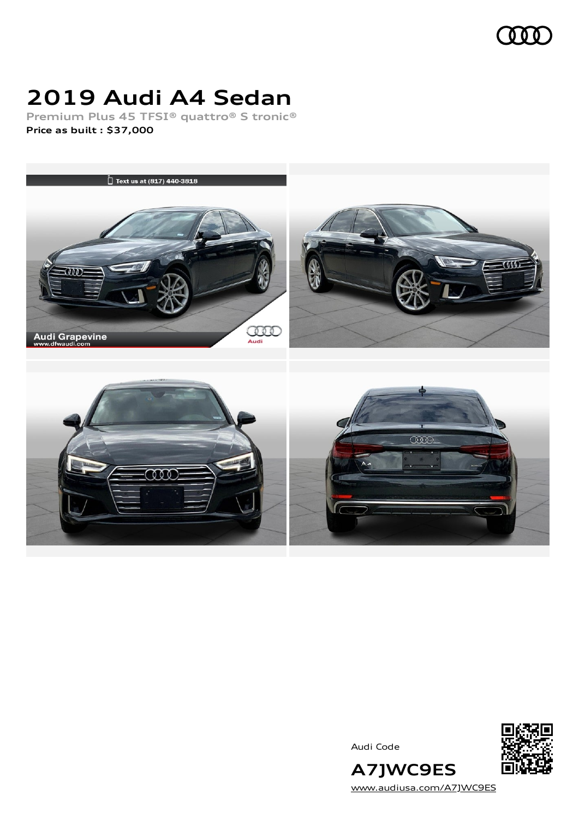

# **2019 Audi A4 Sedan**

**Premium Plus 45 TFSI® quattro® S tronic® Price as built [:](#page-8-0) \$37,000**



Audi Code



**A7JWC9ES** [www.audiusa.com/A7JWC9ES](https://www.audiusa.com/A7JWC9ES)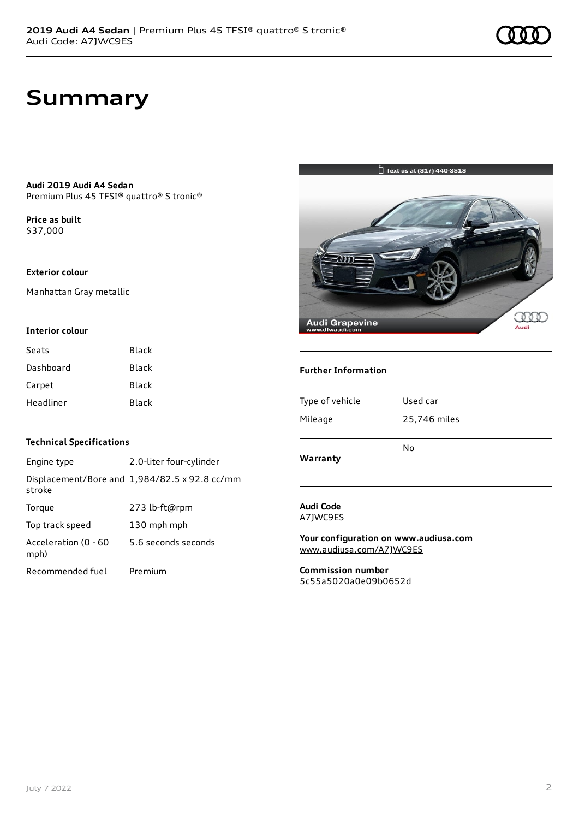### **Summary**

**Audi 2019 Audi A4 Sedan** Premium Plus 45 TFSI® quattro® S tronic®

**Price as buil[t](#page-8-0)** \$37,000

#### **Exterior colour**

Manhattan Gray metallic

#### **Interior colour**

| Seats     | Black |
|-----------|-------|
| Dashboard | Black |
| Carpet    | Black |
| Headliner | Black |

#### **Technical Specifications**

| Engine type                  | 2.0-liter four-cylinder                       |
|------------------------------|-----------------------------------------------|
| stroke                       | Displacement/Bore and 1,984/82.5 x 92.8 cc/mm |
| Torque                       | 273 lb-ft@rpm                                 |
| Top track speed              | 130 mph mph                                   |
| Acceleration (0 - 60<br>mph) | 5.6 seconds seconds                           |
| Recommended fuel             | Premium                                       |

### $\bigcup_{i=1}^{n}$  Text us at (817) 440-3818



#### **Further Information**

| Type of vehicle | Used car     |
|-----------------|--------------|
| Mileage         | 25,746 miles |
| Warranty        | No           |

#### **Audi Code** A7JWC9ES

**Your configuration on www.audiusa.com** [www.audiusa.com/A7JWC9ES](https://www.audiusa.com/A7JWC9ES)

**Commission number** 5c55a5020a0e09b0652d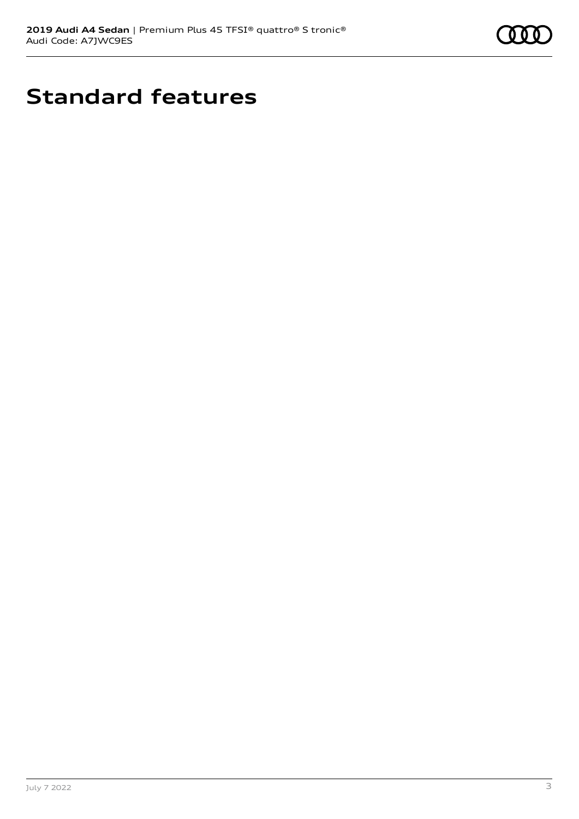

# **Standard features**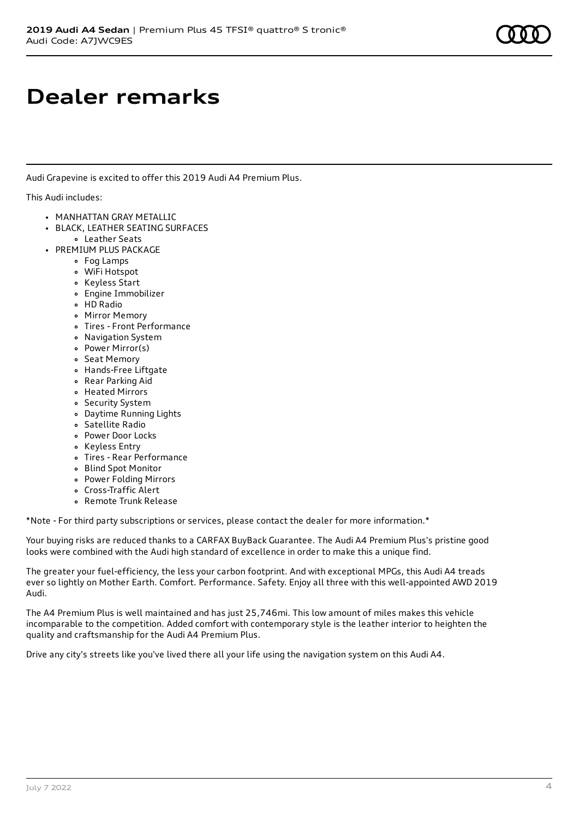### **Dealer remarks**

Audi Grapevine is excited to offer this 2019 Audi A4 Premium Plus.

This Audi includes:

- MANHATTAN GRAY METALLIC
- BLACK, LEATHER SEATING SURFACES Leather Seats
- PREMIUM PLUS PACKAGE
	- Fog Lamps
	- WiFi Hotspot
	- Keyless Start
	- Engine Immobilizer
	- HD Radio
	- Mirror Memory
	- Tires Front Performance
	- Navigation System
	- Power Mirror(s)
	- Seat Memory
	- Hands-Free Liftgate
	- Rear Parking Aid
	- Heated Mirrors
	- Security System
	- Daytime Running Lights
	- Satellite Radio
	- Power Door Locks
	- Keyless Entry
	- Tires Rear Performance
	- Blind Spot Monitor
	- Power Folding Mirrors
	- Cross-Traffic Alert
	- Remote Trunk Release

\*Note - For third party subscriptions or services, please contact the dealer for more information.\*

Your buying risks are reduced thanks to a CARFAX BuyBack Guarantee. The Audi A4 Premium Plus's pristine good looks were combined with the Audi high standard of excellence in order to make this a unique find.

The greater your fuel-efficiency, the less your carbon footprint. And with exceptional MPGs, this Audi A4 treads ever so lightly on Mother Earth. Comfort. Performance. Safety. Enjoy all three with this well-appointed AWD 2019 Audi.

The A4 Premium Plus is well maintained and has just 25,746mi. This low amount of miles makes this vehicle incomparable to the competition. Added comfort with contemporary style is the leather interior to heighten the quality and craftsmanship for the Audi A4 Premium Plus.

Drive any city's streets like you've lived there all your life using the navigation system on this Audi A4.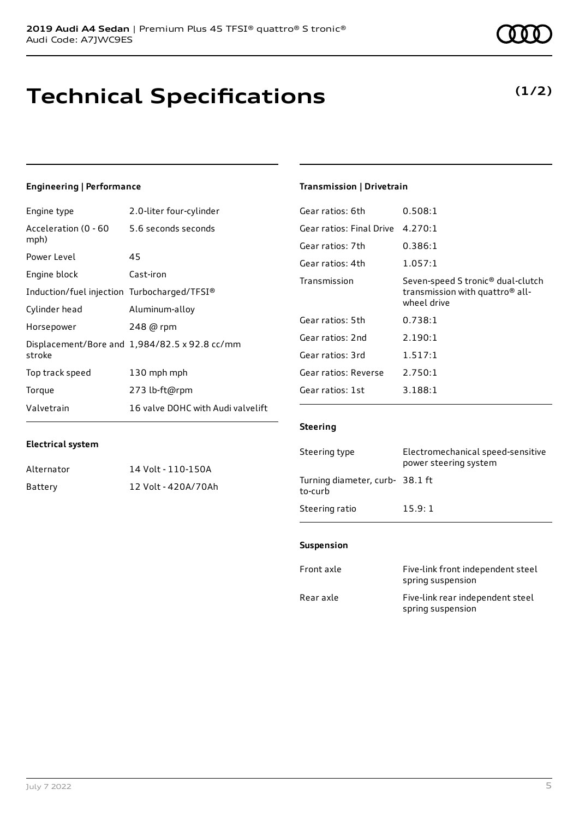### **Technical Specifications**

July 7 2022 5

### **Engineering | Performance**

**Electrical system**

Engine type 2.0-liter four-cylinder

Alternator 14 Volt - 110-150A Battery 12 Volt - 420A/70Ah

| Acceleration (0 - 60<br>mph)                | 5.6 seconds seconds                           |
|---------------------------------------------|-----------------------------------------------|
| Power Level                                 | 45                                            |
| Engine block                                | Cast-iron                                     |
| Induction/fuel injection Turbocharged/TFSI® |                                               |
| Cylinder head                               | Aluminum-alloy                                |
| Horsepower                                  | 248 @ rpm                                     |
| stroke                                      | Displacement/Bore and 1,984/82.5 x 92.8 cc/mm |
| Top track speed                             | 130 mph mph                                   |
| Torque                                      | 273 lb-ft@rpm                                 |
| Valvetrain                                  | 16 valve DOHC with Audi valvelift             |

#### **Transmission | Drivetrain**

| Gear ratios: 6th         | 0.508:1                                                                                                     |
|--------------------------|-------------------------------------------------------------------------------------------------------------|
| Gear ratios: Final Drive | 4.270:1                                                                                                     |
| Gear ratios: 7th         | 0.386:1                                                                                                     |
| Gear ratios: 4th         | 1.057:1                                                                                                     |
| Transmission             | Seven-speed S tronic <sup>®</sup> dual-clutch<br>transmission with quattro <sup>®</sup> all-<br>wheel drive |
| Gear ratios: 5th         | 0.738:1                                                                                                     |
| Gear ratios: 2nd         | 2.190:1                                                                                                     |
| Gear ratios: 3rd         | 1.517:1                                                                                                     |
| Gear ratios: Reverse     | 2.750:1                                                                                                     |
| Gear ratios: 1st         | 3.188:1                                                                                                     |

#### **Steering**

| Steering type                             | Electromechanical speed-sensitive<br>power steering system |
|-------------------------------------------|------------------------------------------------------------|
| Turning diameter, curb-38.1 ft<br>to-curb |                                                            |
| Steering ratio                            | 15.9:1                                                     |

#### **Suspension**

| Front axle | Five-link front independent steel<br>spring suspension |
|------------|--------------------------------------------------------|
| Rear axle  | Five-link rear independent steel<br>spring suspension  |

### **(1/2)**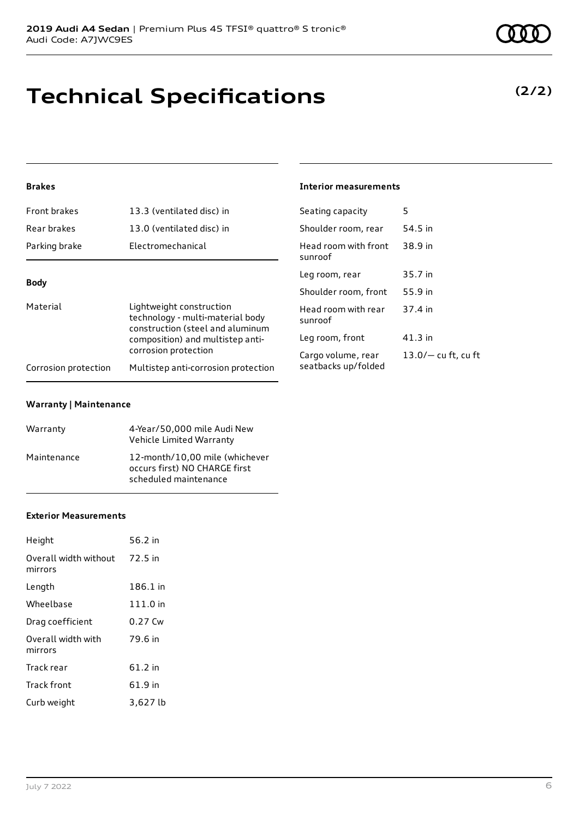# **Technical Specifications**

### **(2/2)**

### **Brakes**

| 13.3 (ventilated disc) in                                    | Seating capacity                 | 5                                           |
|--------------------------------------------------------------|----------------------------------|---------------------------------------------|
| 13.0 (ventilated disc) in                                    | Shoulder room, rear              | 54.5 in                                     |
| Electromechanical                                            | Head room with front<br>sunroof  | 38.9 in                                     |
|                                                              | Leg room, rear                   | 35.7 in                                     |
| <b>Body</b>                                                  |                                  | 55.9 in                                     |
| Lightweight construction<br>technology - multi-material body | Head room with rear<br>sunroof   | 37.4 in                                     |
| composition) and multistep anti-                             | Leg room, front                  | $41.3$ in                                   |
| corrosion protection                                         | Cargo volume, rear               | $13.0/-$ cu ft, cu ft                       |
| Multistep anti-corrosion protection                          |                                  |                                             |
|                                                              | construction (steel and aluminum | Shoulder room, front<br>seatbacks up/folded |

**Interior measurements**

#### **Warranty | Maintenance**

| Warranty    | 4-Year/50,000 mile Audi New<br>Vehicle Limited Warranty                                  |
|-------------|------------------------------------------------------------------------------------------|
| Maintenance | 12-month/10.00 mile (whichever<br>occurs first) NO CHARGE first<br>scheduled maintenance |

#### **Exterior Measurements**

| Height                           | 56.2 in   |
|----------------------------------|-----------|
| Overall width without<br>mirrors | 72.5 in   |
| Length                           | 186.1 in  |
| Wheelbase                        | 111.0 in  |
| Drag coefficient                 | $0.27$ Cw |
| Overall width with<br>mirrors    | 79.6 in   |
| Track rear                       | $61.2$ in |
| Track front                      | 61.9 in   |
| Curb weight                      | 3,627 lb  |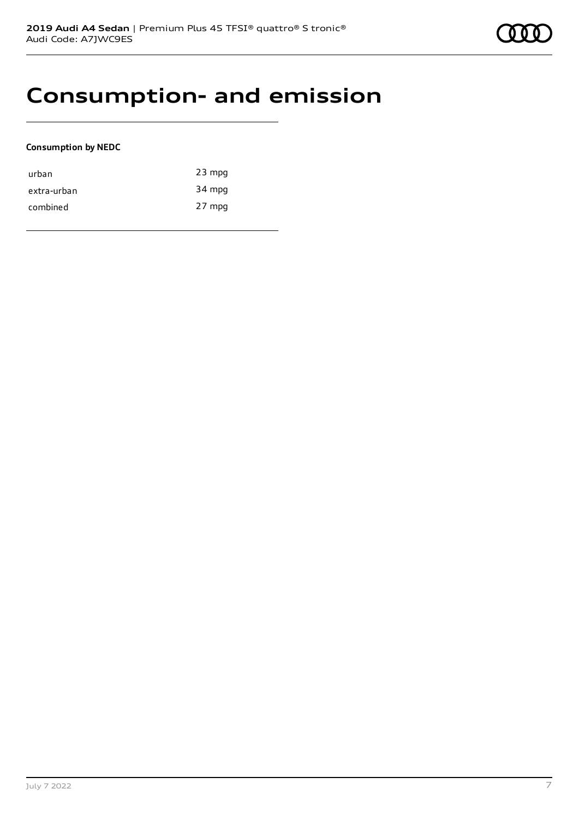### **Consumption- and emission**

#### **Consumption by NEDC**

| urban       | $23$ mpg |
|-------------|----------|
| extra-urban | 34 mpg   |
| combined    | 27 mpg   |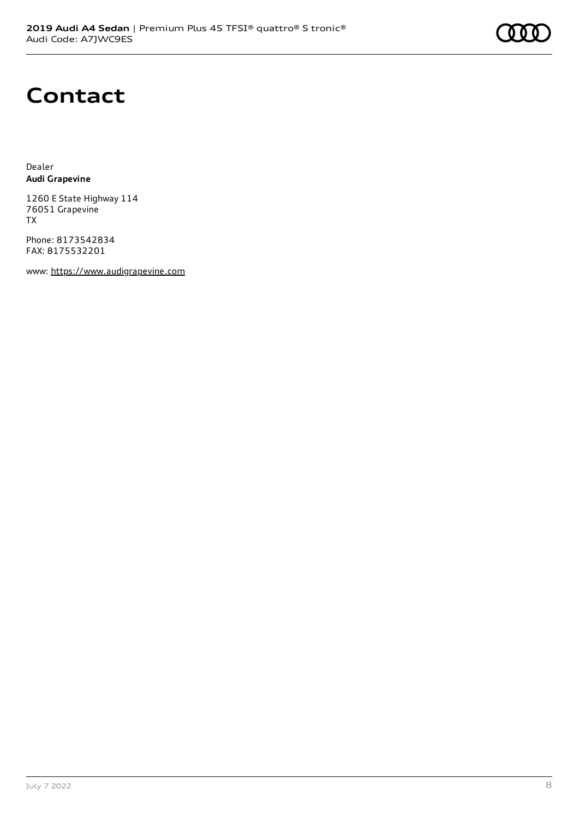# **Contact**

Dealer **Audi Grapevine**

1260 E State Highway 114 76051 Grapevine TX

Phone: 8173542834 FAX: 8175532201

www: [https://www.audigrapevine.com](https://www.audigrapevine.com/)